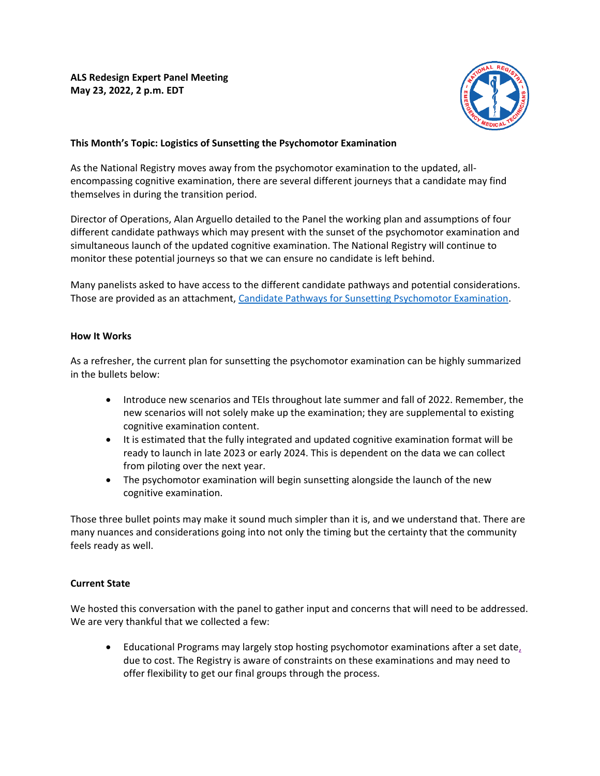

# **This Month's Topic: Logistics of Sunsetting the Psychomotor Examination**

As the National Registry moves away from the psychomotor examination to the updated, allencompassing cognitive examination, there are several different journeys that a candidate may find themselves in during the transition period.

Director of Operations, Alan Arguello detailed to the Panel the working plan and assumptions of four different candidate pathways which may present with the sunset of the psychomotor examination and simultaneous launch of the updated cognitive examination. The National Registry will continue to monitor these potential journeys so that we can ensure no candidate is left behind.

Many panelists asked to have access to the different candidate pathways and potential considerations. Those are provided as an attachment, [Candidate Pathways for Sunsetting Psychomotor Examination.](https://nremt.org/getmedia/ee2a7571-8732-4ff9-905f-ecec765ff54f/CandidatePathways_Sunsetting-thePsychomotorExamination_DemoPurposesOnly.pdf)

#### **How It Works**

As a refresher, the current plan for sunsetting the psychomotor examination can be highly summarized in the bullets below:

- Introduce new scenarios and TEIs throughout late summer and fall of 2022. Remember, the new scenarios will not solely make up the examination; they are supplemental to existing cognitive examination content.
- It is estimated that the fully integrated and updated cognitive examination format will be ready to launch in late 2023 or early 2024. This is dependent on the data we can collect from piloting over the next year.
- The psychomotor examination will begin sunsetting alongside the launch of the new cognitive examination.

Those three bullet points may make it sound much simpler than it is, and we understand that. There are many nuances and considerations going into not only the timing but the certainty that the community feels ready as well.

### **Current State**

We hosted this conversation with the panel to gather input and concerns that will need to be addressed. We are very thankful that we collected a few:

• Educational Programs may largely stop hosting psychomotor examinations after a set date, due to cost. The Registry is aware of constraints on these examinations and may need to offer flexibility to get our final groups through the process.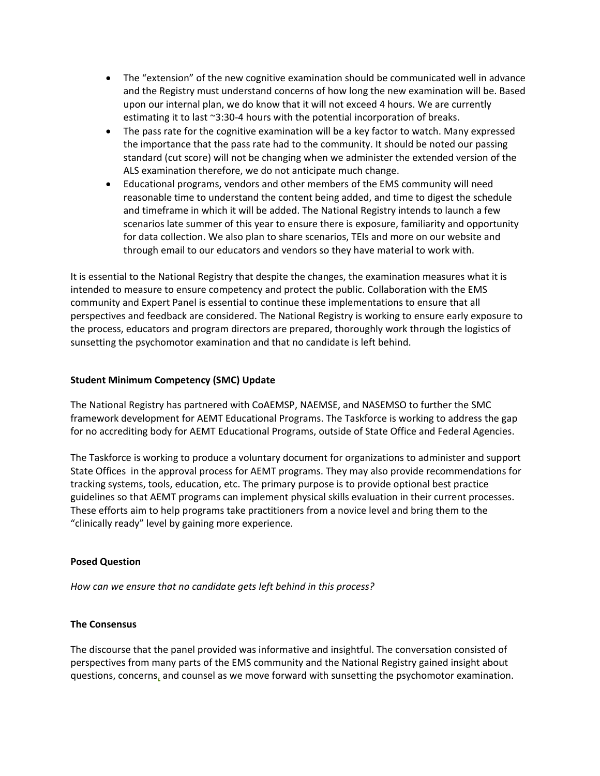- The "extension" of the new cognitive examination should be communicated well in advance and the Registry must understand concerns of how long the new examination will be. Based upon our internal plan, we do know that it will not exceed 4 hours. We are currently estimating it to last ~3:30-4 hours with the potential incorporation of breaks.
- The pass rate for the cognitive examination will be a key factor to watch. Many expressed the importance that the pass rate had to the community. It should be noted our passing standard (cut score) will not be changing when we administer the extended version of the ALS examination therefore, we do not anticipate much change.
- Educational programs, vendors and other members of the EMS community will need reasonable time to understand the content being added, and time to digest the schedule and timeframe in which it will be added. The National Registry intends to launch a few scenarios late summer of this year to ensure there is exposure, familiarity and opportunity for data collection. We also plan to share scenarios, TEIs and more on our website and through email to our educators and vendors so they have material to work with.

It is essential to the National Registry that despite the changes, the examination measures what it is intended to measure to ensure competency and protect the public. Collaboration with the EMS community and Expert Panel is essential to continue these implementations to ensure that all perspectives and feedback are considered. The National Registry is working to ensure early exposure to the process, educators and program directors are prepared, thoroughly work through the logistics of sunsetting the psychomotor examination and that no candidate is left behind.

### **Student Minimum Competency (SMC) Update**

The National Registry has partnered with CoAEMSP, NAEMSE, and NASEMSO to further the SMC framework development for AEMT Educational Programs. The Taskforce is working to address the gap for no accrediting body for AEMT Educational Programs, outside of State Office and Federal Agencies.

The Taskforce is working to produce a voluntary document for organizations to administer and support State Offices in the approval process for AEMT programs. They may also provide recommendations for tracking systems, tools, education, etc. The primary purpose is to provide optional best practice guidelines so that AEMT programs can implement physical skills evaluation in their current processes. These efforts aim to help programs take practitioners from a novice level and bring them to the "clinically ready" level by gaining more experience.

### **Posed Question**

*How can we ensure that no candidate gets left behind in this process?*

## **The Consensus**

The discourse that the panel provided was informative and insightful. The conversation consisted of perspectives from many parts of the EMS community and the National Registry gained insight about questions, concerns, and counsel as we move forward with sunsetting the psychomotor examination.